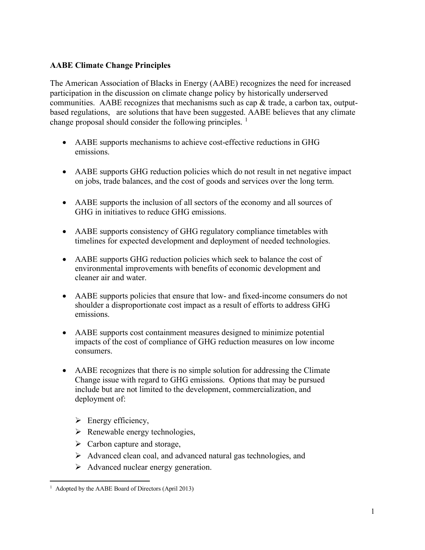## **AABE Climate Change Principles**

The American Association of Blacks in Energy (AABE) recognizes the need for increased participation in the discussion on climate change policy by historically underserved communities. AABE recognizes that mechanisms such as cap & trade, a carbon tax, outputbased regulations, are solutions that have been suggested. AABE believes that any climate change proposal should consider the following principles.  $<sup>1</sup>$  $<sup>1</sup>$  $<sup>1</sup>$ </sup>

- AABE supports mechanisms to achieve cost-effective reductions in GHG emissions.
- AABE supports GHG reduction policies which do not result in net negative impact on jobs, trade balances, and the cost of goods and services over the long term.
- AABE supports the inclusion of all sectors of the economy and all sources of GHG in initiatives to reduce GHG emissions.
- AABE supports consistency of GHG regulatory compliance timetables with timelines for expected development and deployment of needed technologies.
- AABE supports GHG reduction policies which seek to balance the cost of environmental improvements with benefits of economic development and cleaner air and water.
- AABE supports policies that ensure that low- and fixed-income consumers do not shoulder a disproportionate cost impact as a result of efforts to address GHG emissions.
- AABE supports cost containment measures designed to minimize potential impacts of the cost of compliance of GHG reduction measures on low income consumers.
- AABE recognizes that there is no simple solution for addressing the Climate Change issue with regard to GHG emissions. Options that may be pursued include but are not limited to the development, commercialization, and deployment of:
	- $\triangleright$  Energy efficiency,
	- $\triangleright$  Renewable energy technologies,
	- $\triangleright$  Carbon capture and storage,
	- Advanced clean coal, and advanced natural gas technologies, and
	- $\triangleright$  Advanced nuclear energy generation.

<span id="page-0-0"></span><sup>&</sup>lt;sup>1</sup> Adopted by the AABE Board of Directors (April 2013)